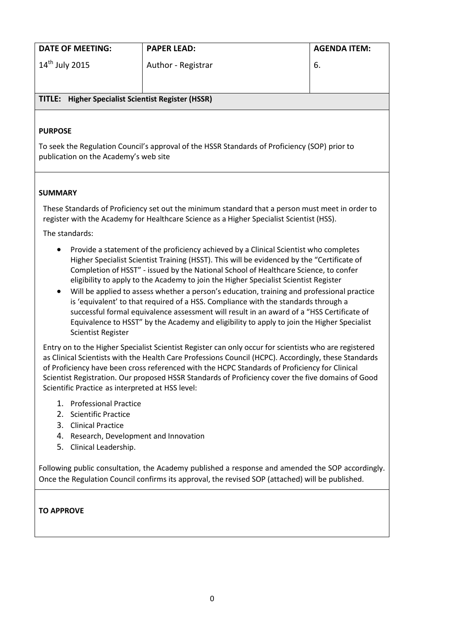| <b>DATE OF MEETING:</b>                                   | <b>PAPER LEAD:</b> | <b>AGENDA ITEM:</b> |
|-----------------------------------------------------------|--------------------|---------------------|
| $14^{\text{th}}$ July 2015                                | Author - Registrar | -6.                 |
| <b>TITLE:</b> Higher Specialist Scientist Register (HSSR) |                    |                     |

#### **PURPOSE**

To seek the Regulation Council's approval of the HSSR Standards of Proficiency (SOP) prior to publication on the Academy's web site

#### **SUMMARY**

These Standards of Proficiency set out the minimum standard that a person must meet in order to register with the Academy for Healthcare Science as a Higher Specialist Scientist (HSS).

The standards:

- Provide a statement of the proficiency achieved by a Clinical Scientist who completes Higher Specialist Scientist Training (HSST). This will be evidenced by the "Certificate of Completion of HSST" - issued by the National School of Healthcare Science, to confer eligibility to apply to the Academy to join the Higher Specialist Scientist Register
- Will be applied to assess whether a person's education, training and professional practice is 'equivalent' to that required of a HSS. Compliance with the standards through a successful formal equivalence assessment will result in an award of a "HSS Certificate of Equivalence to HSST" by the Academy and eligibility to apply to join the Higher Specialist Scientist Register

Entry on to the Higher Specialist Scientist Register can only occur for scientists who are registered as Clinical Scientists with the Health Care Professions Council (HCPC). Accordingly, these Standards of Proficiency have been cross referenced with the HCPC Standards of Proficiency for Clinical Scientist Registration. Our proposed HSSR Standards of Proficiency cover the five domains of Good Scientific Practice as interpreted at HSS level:

- 1. Professional Practice
- 2. Scientific Practice
- 3. Clinical Practice
- 4. Research, Development and Innovation
- 5. Clinical Leadership.

Following public consultation, the Academy published a response and amended the SOP accordingly. Once the Regulation Council confirms its approval, the revised SOP (attached) will be published.

#### **TO APPROVE**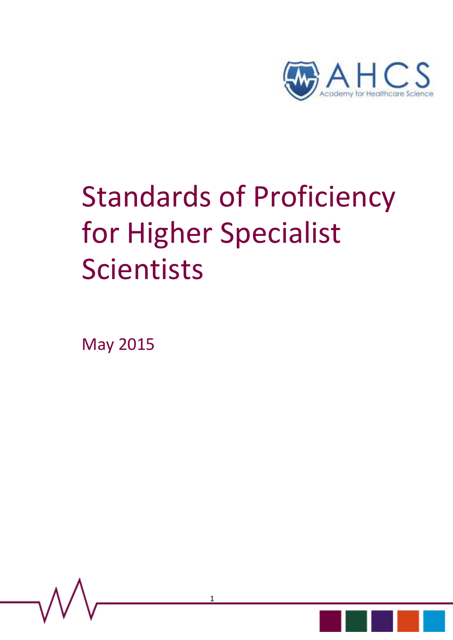

# Standards of Proficiency for Higher Specialist Scientists

May 2015

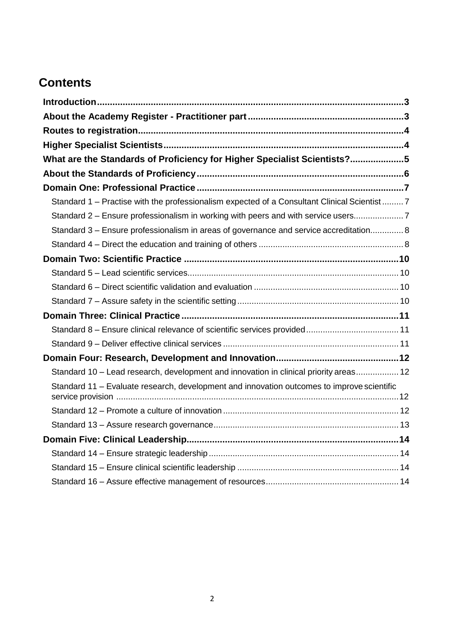## **Contents**

| What are the Standards of Proficiency for Higher Specialist Scientists?5                    |  |
|---------------------------------------------------------------------------------------------|--|
|                                                                                             |  |
|                                                                                             |  |
| Standard 1 - Practise with the professionalism expected of a Consultant Clinical Scientist7 |  |
| Standard 2 - Ensure professionalism in working with peers and with service users7           |  |
| Standard 3 – Ensure professionalism in areas of governance and service accreditation 8      |  |
|                                                                                             |  |
|                                                                                             |  |
|                                                                                             |  |
|                                                                                             |  |
|                                                                                             |  |
|                                                                                             |  |
|                                                                                             |  |
|                                                                                             |  |
|                                                                                             |  |
| Standard 10 - Lead research, development and innovation in clinical priority areas 12       |  |
| Standard 11 - Evaluate research, development and innovation outcomes to improve scientific  |  |
|                                                                                             |  |
|                                                                                             |  |
|                                                                                             |  |
|                                                                                             |  |
|                                                                                             |  |
|                                                                                             |  |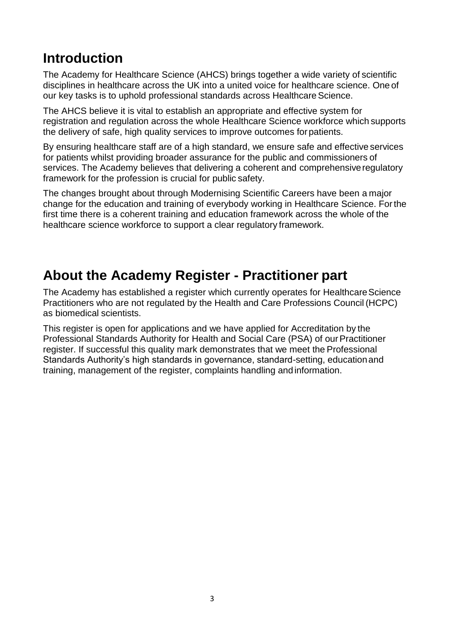# <span id="page-3-0"></span>**Introduction**

The Academy for Healthcare Science (AHCS) brings together a wide variety of scientific disciplines in healthcare across the UK into a united voice for healthcare science. One of our key tasks is to uphold professional standards across Healthcare Science.

The AHCS believe it is vital to establish an appropriate and effective system for registration and regulation across the whole Healthcare Science workforce which supports the delivery of safe, high quality services to improve outcomes forpatients.

By ensuring healthcare staff are of a high standard, we ensure safe and effective services for patients whilst providing broader assurance for the public and commissioners of services. The Academy believes that delivering a coherent and comprehensiveregulatory framework for the profession is crucial for public safety.

The changes brought about through Modernising Scientific Careers have been a major change for the education and training of everybody working in Healthcare Science. Forthe first time there is a coherent training and education framework across the whole of the healthcare science workforce to support a clear regulatory framework.

## <span id="page-3-1"></span>**About the Academy Register - Practitioner part**

The Academy has established a register which currently operates for Healthcare Science Practitioners who are not regulated by the Health and Care Professions Council (HCPC) as biomedical scientists.

This register is open for applications and we have applied for Accreditation by the Professional Standards Authority for Health and Social Care (PSA) of our Practitioner register. If successful this quality mark demonstrates that we meet the Professional Standards Authority's high standards in governance, standard-setting, educationand training, management of the register, complaints handling andinformation.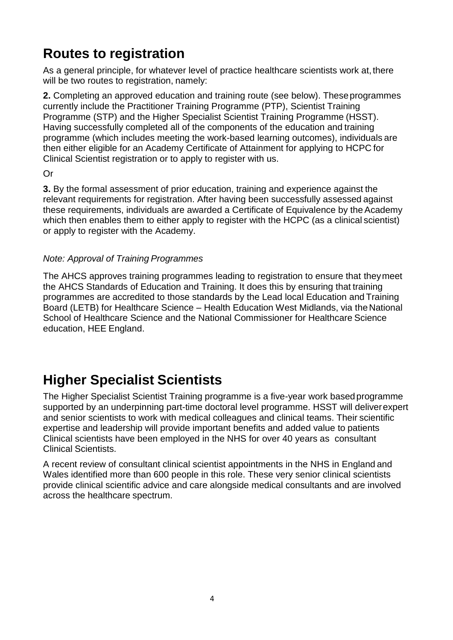## <span id="page-4-0"></span>**Routes to registration**

As a general principle, for whatever level of practice healthcare scientists work at, there will be two routes to registration, namely:

**2.** Completing an approved education and training route (see below). These programmes currently include the Practitioner Training Programme (PTP), Scientist Training Programme (STP) and the Higher Specialist Scientist Training Programme (HSST). Having successfully completed all of the components of the education and training programme (which includes meeting the work-based learning outcomes), individuals are then either eligible for an Academy Certificate of Attainment for applying to HCPC for Clinical Scientist registration or to apply to register with us.

Or

**3.** By the formal assessment of prior education, training and experience against the relevant requirements for registration. After having been successfully assessed against these requirements, individuals are awarded a Certificate of Equivalence by the Academy which then enables them to either apply to register with the HCPC (as a clinical scientist) or apply to register with the Academy.

#### *Note: Approval of Training Programmes*

The AHCS approves training programmes leading to registration to ensure that theymeet the AHCS Standards of Education and Training. It does this by ensuring that training programmes are accredited to those standards by the Lead local Education and Training Board (LETB) for Healthcare Science – Health Education West Midlands, via the National School of Healthcare Science and the National Commissioner for Healthcare Science education, HEE England.

# <span id="page-4-1"></span>**Higher Specialist Scientists**

The Higher Specialist Scientist Training programme is a five-year work based programme supported by an underpinning part-time doctoral level programme. HSST will deliverexpert and senior scientists to work with medical colleagues and clinical teams. Their scientific expertise and leadership will provide important benefits and added value to patients Clinical scientists have been employed in the NHS for over 40 years as consultant Clinical Scientists.

A recent review of consultant clinical scientist appointments in the NHS in England and Wales identified more than 600 people in this role. These very senior clinical scientists provide clinical scientific advice and care alongside medical consultants and are involved across the healthcare spectrum.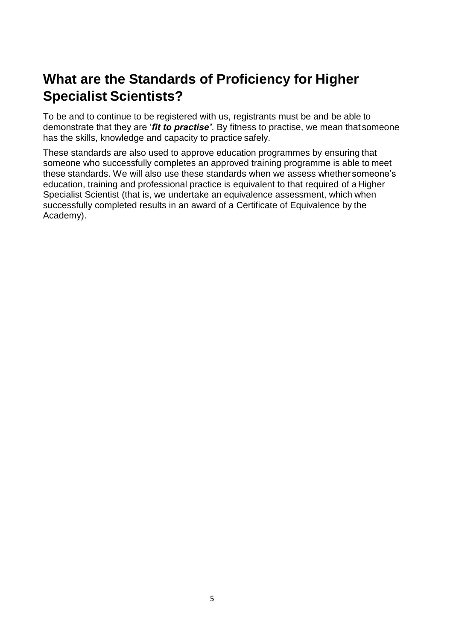# <span id="page-5-0"></span>**What are the Standards of Proficiency for Higher Specialist Scientists?**

To be and to continue to be registered with us, registrants must be and be able to demonstrate that they are '*fit to practise'*. By fitness to practise, we mean that someone has the skills, knowledge and capacity to practice safely.

These standards are also used to approve education programmes by ensuring that someone who successfully completes an approved training programme is able to meet these standards. We will also use these standards when we assess whether someone's education, training and professional practice is equivalent to that required of a Higher Specialist Scientist (that is, we undertake an equivalence assessment, which when successfully completed results in an award of a Certificate of Equivalence by the Academy).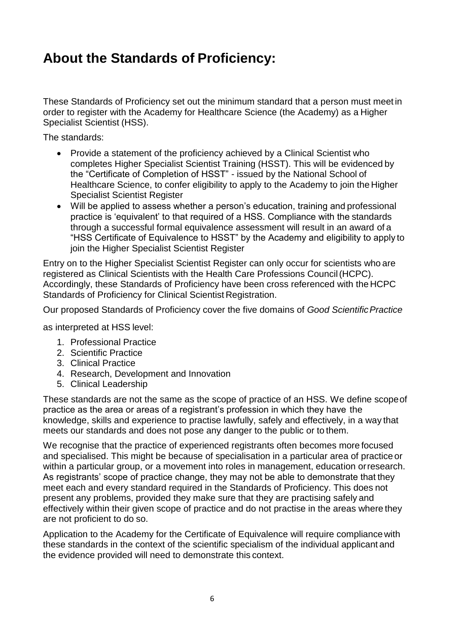## <span id="page-6-0"></span>**About the Standards of Proficiency:**

These Standards of Proficiency set out the minimum standard that a person must meet in order to register with the Academy for Healthcare Science (the Academy) as a Higher Specialist Scientist (HSS).

The standards:

- Provide a statement of the proficiency achieved by a Clinical Scientist who completes Higher Specialist Scientist Training (HSST). This will be evidenced by the "Certificate of Completion of HSST" - issued by the National School of Healthcare Science, to confer eligibility to apply to the Academy to join the Higher Specialist Scientist Register
- Will be applied to assess whether a person's education, training and professional practice is 'equivalent' to that required of a HSS. Compliance with the standards through a successful formal equivalence assessment will result in an award of a "HSS Certificate of Equivalence to HSST" by the Academy and eligibility to apply to join the Higher Specialist Scientist Register

Entry on to the Higher Specialist Scientist Register can only occur for scientists who are registered as Clinical Scientists with the Health Care Professions Council(HCPC). Accordingly, these Standards of Proficiency have been cross referenced with the HCPC Standards of Proficiency for Clinical Scientist Registration.

Our proposed Standards of Proficiency cover the five domains of *Good ScientificPractice*

as interpreted at HSS level:

- 1. Professional Practice
- 2. Scientific Practice
- 3. Clinical Practice
- 4. Research, Development and Innovation
- 5. Clinical Leadership

These standards are not the same as the scope of practice of an HSS. We define scopeof practice as the area or areas of a registrant's profession in which they have the knowledge, skills and experience to practise lawfully, safely and effectively, in a way that meets our standards and does not pose any danger to the public or to them.

We recognise that the practice of experienced registrants often becomes more focused and specialised. This might be because of specialisation in a particular area of practice or within a particular group, or a movement into roles in management, education orresearch. As registrants' scope of practice change, they may not be able to demonstrate that they meet each and every standard required in the Standards of Proficiency. This does not present any problems, provided they make sure that they are practising safely and effectively within their given scope of practice and do not practise in the areas where they are not proficient to do so.

Application to the Academy for the Certificate of Equivalence will require compliance with these standards in the context of the scientific specialism of the individual applicant and the evidence provided will need to demonstrate this context.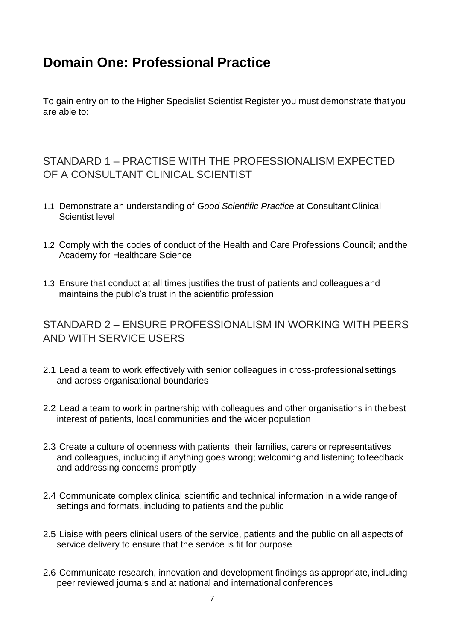## <span id="page-7-0"></span>**Domain One: Professional Practice**

To gain entry on to the Higher Specialist Scientist Register you must demonstrate that you are able to:

### <span id="page-7-1"></span>STANDARD 1 – PRACTISE WITH THE PROFESSIONALISM EXPECTED OF A CONSULTANT CLINICAL SCIENTIST

- 1.1 Demonstrate an understanding of *Good Scientific Practice* at Consultant Clinical Scientist level
- 1.2 Comply with the codes of conduct of the Health and Care Professions Council; and the Academy for Healthcare Science
- 1.3 Ensure that conduct at all times justifies the trust of patients and colleagues and maintains the public's trust in the scientific profession

#### <span id="page-7-2"></span>STANDARD 2 – ENSURE PROFESSIONALISM IN WORKING WITH PEERS AND WITH SERVICE USERS

- 2.1 Lead a team to work effectively with senior colleagues in cross-professional settings and across organisational boundaries
- 2.2 Lead a team to work in partnership with colleagues and other organisations in the best interest of patients, local communities and the wider population
- 2.3 Create a culture of openness with patients, their families, carers or representatives and colleagues, including if anything goes wrong; welcoming and listening tofeedback and addressing concerns promptly
- 2.4 Communicate complex clinical scientific and technical information in a wide range of settings and formats, including to patients and the public
- 2.5 Liaise with peers clinical users of the service, patients and the public on all aspects of service delivery to ensure that the service is fit for purpose
- 2.6 Communicate research, innovation and development findings as appropriate, including peer reviewed journals and at national and international conferences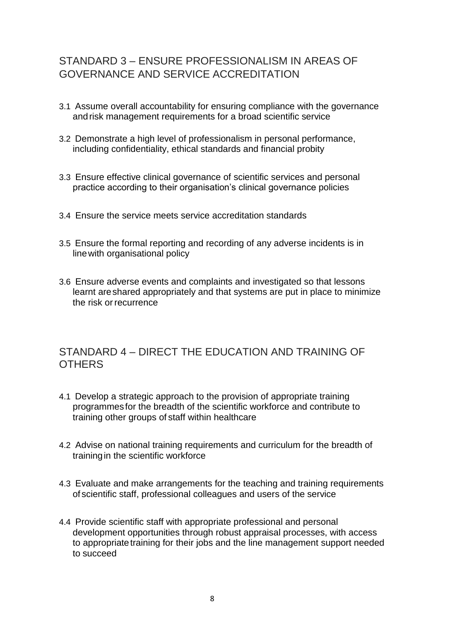## <span id="page-8-0"></span>STANDARD 3 – ENSURE PROFESSIONALISM IN AREAS OF GOVERNANCE AND SERVICE ACCREDITATION

- 3.1 Assume overall accountability for ensuring compliance with the governance andrisk management requirements for a broad scientific service
- 3.2 Demonstrate a high level of professionalism in personal performance, including confidentiality, ethical standards and financial probity
- 3.3 Ensure effective clinical governance of scientific services and personal practice according to their organisation's clinical governance policies
- 3.4 Ensure the service meets service accreditation standards
- 3.5 Ensure the formal reporting and recording of any adverse incidents is in linewith organisational policy
- 3.6 Ensure adverse events and complaints and investigated so that lessons learnt areshared appropriately and that systems are put in place to minimize the risk orrecurrence

#### <span id="page-8-1"></span>STANDARD 4 – DIRECT THE EDUCATION AND TRAINING OF **OTHERS**

- 4.1 Develop a strategic approach to the provision of appropriate training programmesfor the breadth of the scientific workforce and contribute to training other groups of staff within healthcare
- 4.2 Advise on national training requirements and curriculum for the breadth of trainingin the scientific workforce
- 4.3 Evaluate and make arrangements for the teaching and training requirements of scientific staff, professional colleagues and users of the service
- 4.4 Provide scientific staff with appropriate professional and personal development opportunities through robust appraisal processes, with access to appropriate training for their jobs and the line management support needed to succeed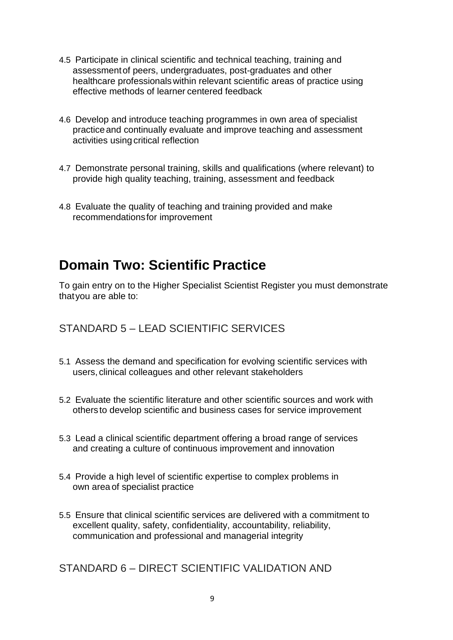- 4.5 Participate in clinical scientific and technical teaching, training and assessmentof peers, undergraduates, post-graduates and other healthcare professionals within relevant scientific areas of practice using effective methods of learner centered feedback
- 4.6 Develop and introduce teaching programmes in own area of specialist practice and continually evaluate and improve teaching and assessment activities using critical reflection
- 4.7 Demonstrate personal training, skills and qualifications (where relevant) to provide high quality teaching, training, assessment and feedback
- 4.8 Evaluate the quality of teaching and training provided and make recommendationsfor improvement

## <span id="page-9-0"></span>**Domain Two: Scientific Practice**

To gain entry on to the Higher Specialist Scientist Register you must demonstrate thatyou are able to:

#### <span id="page-9-1"></span>STANDARD 5 – LEAD SCIENTIFIC SERVICES

- 5.1 Assess the demand and specification for evolving scientific services with users, clinical colleagues and other relevant stakeholders
- 5.2 Evaluate the scientific literature and other scientific sources and work with others to develop scientific and business cases for service improvement
- 5.3 Lead a clinical scientific department offering a broad range of services and creating a culture of continuous improvement and innovation
- 5.4 Provide a high level of scientific expertise to complex problems in own area of specialist practice
- 5.5 Ensure that clinical scientific services are delivered with a commitment to excellent quality, safety, confidentiality, accountability, reliability, communication and professional and managerial integrity

<span id="page-9-2"></span>STANDARD 6 – DIRECT SCIENTIFIC VALIDATION AND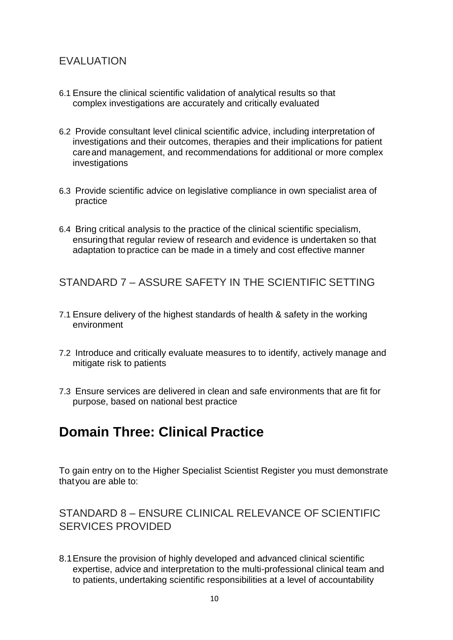### EVALUATION

- 6.1 Ensure the clinical scientific validation of analytical results so that complex investigations are accurately and critically evaluated
- 6.2 Provide consultant level clinical scientific advice, including interpretation of investigations and their outcomes, therapies and their implications for patient careand management, and recommendations for additional or more complex investigations
- 6.3 Provide scientific advice on legislative compliance in own specialist area of practice
- <span id="page-10-0"></span>6.4 Bring critical analysis to the practice of the clinical scientific specialism, ensuringthat regular review of research and evidence is undertaken so that adaptation to practice can be made in a timely and cost effective manner

STANDARD 7 – ASSURE SAFETY IN THE SCIENTIFIC SETTING

- 7.1 Ensure delivery of the highest standards of health & safety in the working environment
- 7.2 Introduce and critically evaluate measures to to identify, actively manage and mitigate risk to patients
- 7.3 Ensure services are delivered in clean and safe environments that are fit for purpose, based on national best practice

## <span id="page-10-1"></span>**Domain Three: Clinical Practice**

To gain entry on to the Higher Specialist Scientist Register you must demonstrate thatyou are able to:

<span id="page-10-2"></span>STANDARD 8 – ENSURE CLINICAL RELEVANCE OF SCIENTIFIC SERVICES PROVIDED

8.1Ensure the provision of highly developed and advanced clinical scientific expertise, advice and interpretation to the multi-professional clinical team and to patients, undertaking scientific responsibilities at a level of accountability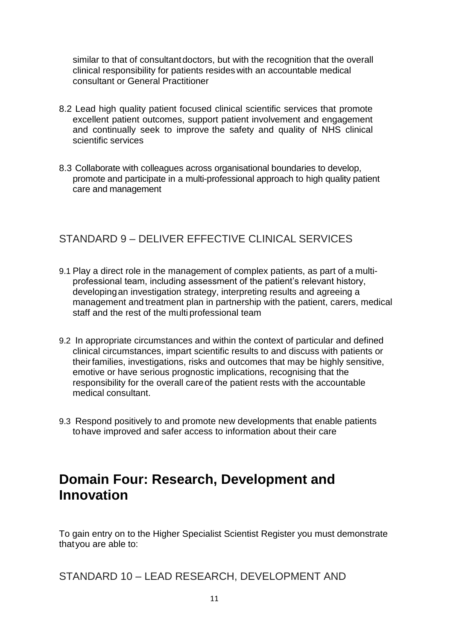similar to that of consultantdoctors, but with the recognition that the overall clinical responsibility for patients resides with an accountable medical consultant or General Practitioner

- 8.2 Lead high quality patient focused clinical scientific services that promote excellent patient outcomes, support patient involvement and engagement and continually seek to improve the safety and quality of NHS clinical scientific services
- 8.3 Collaborate with colleagues across organisational boundaries to develop, promote and participate in a multi-professional approach to high quality patient care and management

#### <span id="page-11-0"></span>STANDARD 9 – DELIVER EFFECTIVE CLINICAL SERVICES

- 9.1 Play a direct role in the management of complex patients, as part of a multiprofessional team, including assessment of the patient's relevant history, developingan investigation strategy, interpreting results and agreeing a management and treatment plan in partnership with the patient, carers, medical staff and the rest of the multi professional team
- 9.2 In appropriate circumstances and within the context of particular and defined clinical circumstances, impart scientific results to and discuss with patients or theirfamilies, investigations, risks and outcomes that may be highly sensitive, emotive or have serious prognostic implications, recognising that the responsibility for the overall careof the patient rests with the accountable medical consultant.
- 9.3 Respond positively to and promote new developments that enable patients tohave improved and safer access to information about their care

## <span id="page-11-1"></span>**Domain Four: Research, Development and Innovation**

To gain entry on to the Higher Specialist Scientist Register you must demonstrate thatyou are able to:

<span id="page-11-2"></span>STANDARD 10 – LEAD RESEARCH, DEVELOPMENT AND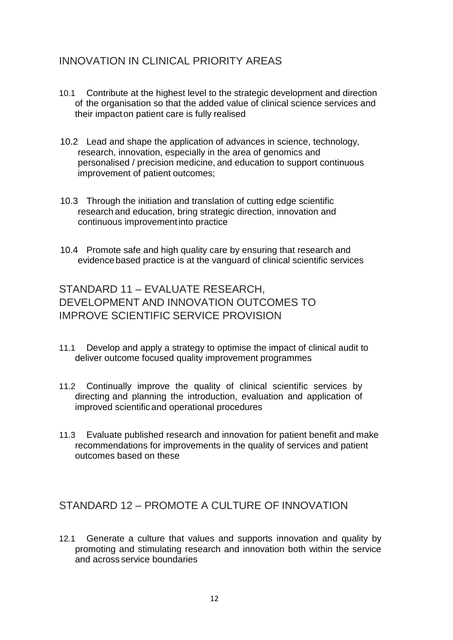### INNOVATION IN CLINICAL PRIORITY AREAS

- 10.1 Contribute at the highest level to the strategic development and direction of the organisation so that the added value of clinical science services and their impacton patient care is fully realised
- 10.2 Lead and shape the application of advances in science, technology, research, innovation, especially in the area of genomics and personalised / precision medicine, and education to support continuous improvement of patient outcomes;
- 10.3 Through the initiation and translation of cutting edge scientific research and education, bring strategic direction, innovation and continuous improvementinto practice
- 10.4 Promote safe and high quality care by ensuring that research and evidencebased practice is at the vanguard of clinical scientific services

<span id="page-12-0"></span>STANDARD 11 – EVALUATE RESEARCH, DEVELOPMENT AND INNOVATION OUTCOMES TO IMPROVE SCIENTIFIC SERVICE PROVISION

- 11.1 Develop and apply a strategy to optimise the impact of clinical audit to deliver outcome focused quality improvement programmes
- 11.2 Continually improve the quality of clinical scientific services by directing and planning the introduction, evaluation and application of improved scientificand operational procedures
- 11.3 Evaluate published research and innovation for patient benefit and make recommendations for improvements in the quality of services and patient outcomes based on these

#### <span id="page-12-1"></span>STANDARD 12 – PROMOTE A CULTURE OF INNOVATION

12.1 Generate a culture that values and supports innovation and quality by promoting and stimulating research and innovation both within the service and across service boundaries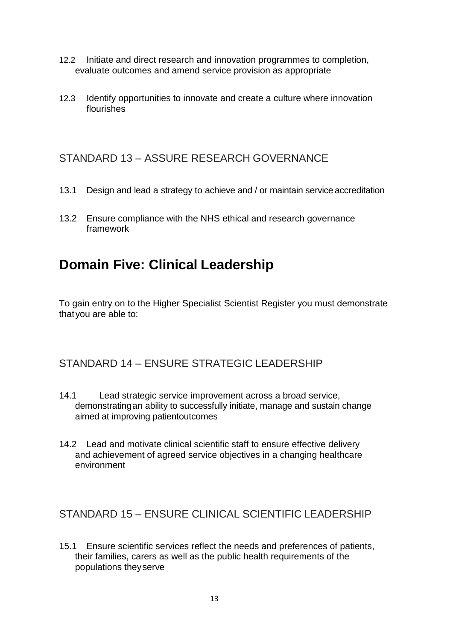- 12.2 Initiate and direct research and innovation programmes to completion, evaluate outcomes and amend service provision as appropriate
- 12.3 Identify opportunities to innovate and create a culture where innovation flourishes

#### <span id="page-13-0"></span>STANDARD 13 – ASSURE RESEARCH GOVERNANCE

- 13.1 Design and lead a strategy to achieve and / or maintain service accreditation
- 13.2 Ensure compliance with the NHS ethical and research governance framework

## <span id="page-13-1"></span>**Domain Five: Clinical Leadership**

To gain entry on to the Higher Specialist Scientist Register you must demonstrate thatyou are able to:

## <span id="page-13-2"></span>STANDARD 14 – ENSURE STRATEGIC LEADERSHIP

- 14.1 Lead strategic service improvement across a broad service, demonstratingan ability to successfully initiate, manage and sustain change aimed at improving patientoutcomes
- 14.2 Lead and motivate clinical scientific staff to ensure effective delivery and achievement of agreed service objectives in a changing healthcare environment

#### <span id="page-13-3"></span>STANDARD 15 – ENSURE CLINICAL SCIENTIFIC LEADERSHIP

15.1 Ensure scientific services reflect the needs and preferences of patients, their families, carers as well as the public health requirements of the populations theyserve